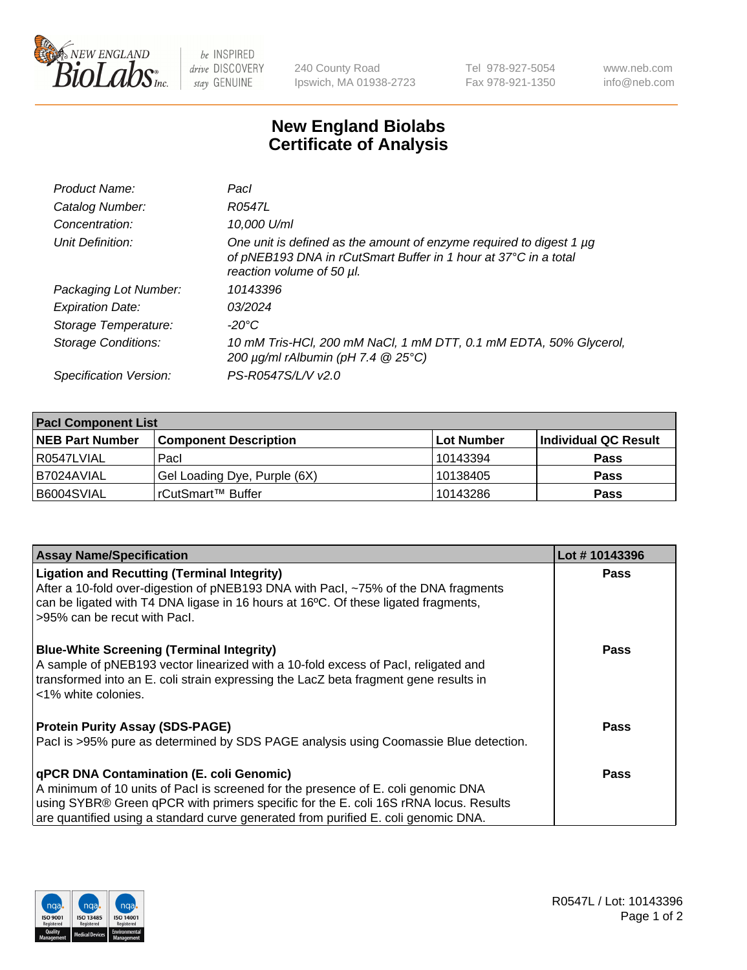

 $be$  INSPIRED drive DISCOVERY stay GENUINE

240 County Road Ipswich, MA 01938-2723 Tel 978-927-5054 Fax 978-921-1350 www.neb.com info@neb.com

## **New England Biolabs Certificate of Analysis**

| Product Name:           | Pacl                                                                                                                                                                |
|-------------------------|---------------------------------------------------------------------------------------------------------------------------------------------------------------------|
| Catalog Number:         | R0547L                                                                                                                                                              |
| Concentration:          | 10,000 U/ml                                                                                                                                                         |
| Unit Definition:        | One unit is defined as the amount of enzyme required to digest 1 µg<br>of pNEB193 DNA in rCutSmart Buffer in 1 hour at 37°C in a total<br>reaction volume of 50 µl. |
| Packaging Lot Number:   | 10143396                                                                                                                                                            |
| <b>Expiration Date:</b> | 03/2024                                                                                                                                                             |
| Storage Temperature:    | -20°C                                                                                                                                                               |
| Storage Conditions:     | 10 mM Tris-HCl, 200 mM NaCl, 1 mM DTT, 0.1 mM EDTA, 50% Glycerol,<br>200 $\mu$ g/ml rAlbumin (pH 7.4 $@$ 25°C)                                                      |
| Specification Version:  | PS-R0547S/L/V v2.0                                                                                                                                                  |

| <b>Pacl Component List</b> |                              |             |                      |  |  |
|----------------------------|------------------------------|-------------|----------------------|--|--|
| <b>NEB Part Number</b>     | <b>Component Description</b> | ∣Lot Number | Individual QC Result |  |  |
| R0547LVIAL                 | Pacl                         | 10143394    | <b>Pass</b>          |  |  |
| B7024AVIAL                 | Gel Loading Dye, Purple (6X) | 10138405    | <b>Pass</b>          |  |  |
| B6004SVIAL                 | rCutSmart™ Buffer            | 10143286    | <b>Pass</b>          |  |  |

| <b>Assay Name/Specification</b>                                                                                                                                                                                                                                                                                    | Lot #10143396 |
|--------------------------------------------------------------------------------------------------------------------------------------------------------------------------------------------------------------------------------------------------------------------------------------------------------------------|---------------|
| <b>Ligation and Recutting (Terminal Integrity)</b><br>After a 10-fold over-digestion of pNEB193 DNA with Pacl, ~75% of the DNA fragments<br>can be ligated with T4 DNA ligase in 16 hours at 16°C. Of these ligated fragments,<br>>95% can be recut with Pacl.                                                     | Pass          |
| <b>Blue-White Screening (Terminal Integrity)</b><br>A sample of pNEB193 vector linearized with a 10-fold excess of Pacl, religated and<br>transformed into an E. coli strain expressing the LacZ beta fragment gene results in<br><1% white colonies.                                                              | <b>Pass</b>   |
| <b>Protein Purity Assay (SDS-PAGE)</b><br>Pacl is >95% pure as determined by SDS PAGE analysis using Coomassie Blue detection.                                                                                                                                                                                     | Pass          |
| <b>qPCR DNA Contamination (E. coli Genomic)</b><br>A minimum of 10 units of Pacl is screened for the presence of E. coli genomic DNA<br>using SYBR® Green qPCR with primers specific for the E. coli 16S rRNA locus. Results<br>are quantified using a standard curve generated from purified E. coli genomic DNA. | Pass          |